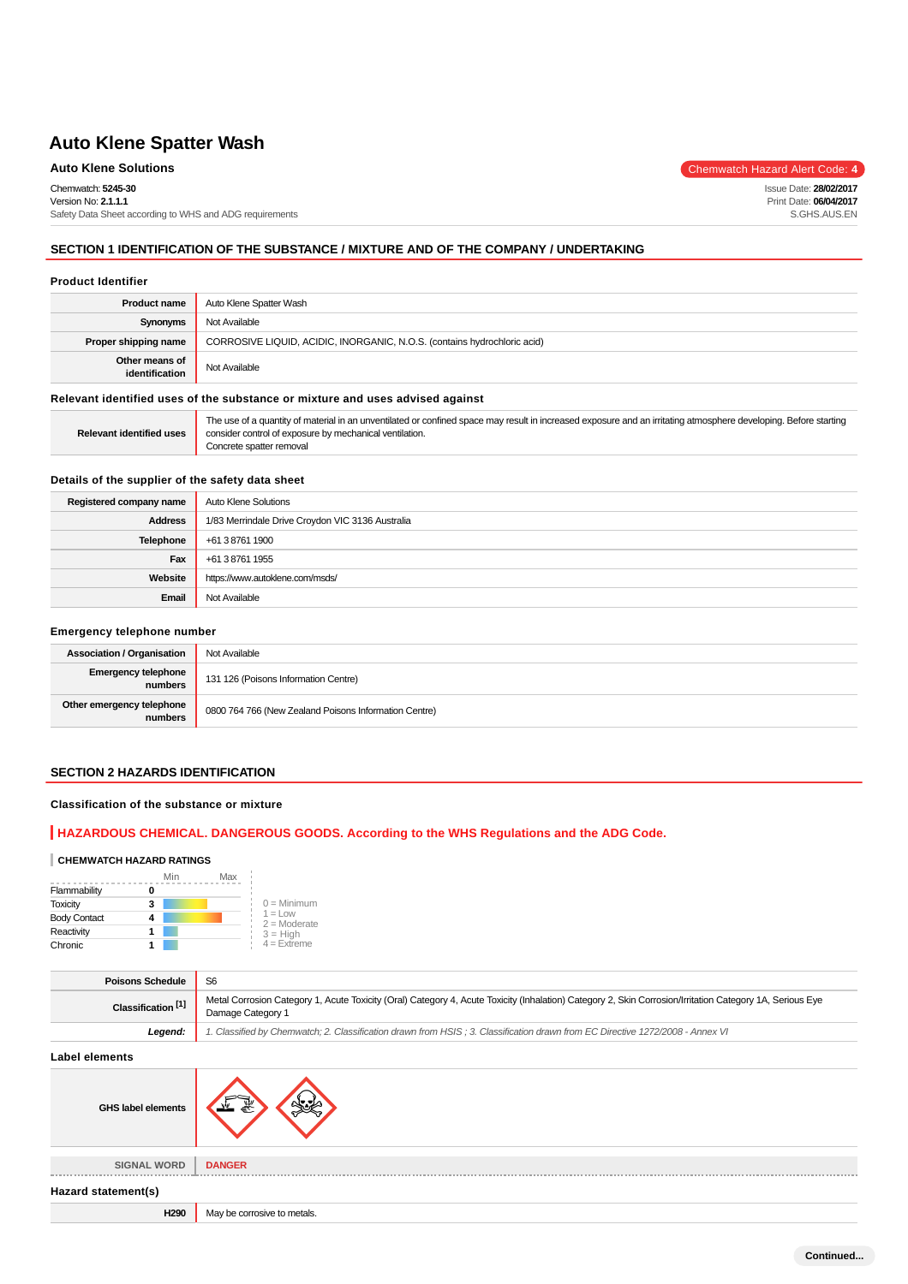# **Auto Klene Solutions** Chemwatch Hazard Alert Code: 4

Chemwatch: **5245-30**

Version No: **2.1.1.1** Safety Data Sheet according to WHS and ADG requirements

## **SECTION 1 IDENTIFICATION OF THE SUBSTANCE / MIXTURE AND OF THE COMPANY / UNDERTAKING**

#### **Product Identifier**

| <b>Product name</b>                                                           | Auto Klene Spatter Wash                                                  |
|-------------------------------------------------------------------------------|--------------------------------------------------------------------------|
| Synonyms                                                                      | Not Available                                                            |
| Proper shipping name                                                          | CORROSIVE LIQUID, ACIDIC, INORGANIC, N.O.S. (contains hydrochloric acid) |
| Other means of<br>identification                                              | Not Available                                                            |
| Relevant identified uses of the substance or mixture and uses advised against |                                                                          |

|                          | The use of a quantity of material in an unventilated or confined space may result in increased exposure and an irritating atmosphere developing. Before starting |
|--------------------------|------------------------------------------------------------------------------------------------------------------------------------------------------------------|
| Relevant identified uses | consider control of exposure by mechanical ventilation.                                                                                                          |
|                          | Concrete spatter removal                                                                                                                                         |

## **Details of the supplier of the safety data sheet**

| Registered company name | Auto Klene Solutions                             |
|-------------------------|--------------------------------------------------|
| <b>Address</b>          | 1/83 Merrindale Drive Croydon VIC 3136 Australia |
| Telephone               | +61 3 8761 1900                                  |
| Fax                     | +61 3 8761 1955                                  |
| Website                 | https://www.autoklene.com/msds/                  |
| Email                   | Not Available                                    |

#### **Emergency telephone number**

| <b>Association / Organisation</b>    | Not Available                                         |
|--------------------------------------|-------------------------------------------------------|
| Emergency telephone<br>numbers       | 131 126 (Poisons Information Centre)                  |
| Other emergency telephone<br>numbers | 0800 764 766 (New Zealand Poisons Information Centre) |

### **SECTION 2 HAZARDS IDENTIFICATION**

#### **Classification of the substance or mixture**

## **HAZARDOUS CHEMICAL. DANGEROUS GOODS. According to the WHS Regulations and the ADG Code.**

### **CHEMWATCH HAZARD RATINGS**

|                     | Min<br>Max |                                    |
|---------------------|------------|------------------------------------|
| Flammability        |            |                                    |
| <b>Toxicity</b>     | 3          | $0 =$ Minimum                      |
| <b>Body Contact</b> |            | $1 = 1$ $\Omega$<br>$2 =$ Moderate |
| Reactivity          |            | $3 = High$                         |
| Chronic             |            | $4 =$ Extreme                      |

| <b>Poisons Schedule</b>       | S <sub>6</sub>                                                                                                                                                                |
|-------------------------------|-------------------------------------------------------------------------------------------------------------------------------------------------------------------------------|
| Classification <sup>[1]</sup> | Metal Corrosion Category 1, Acute Toxicity (Oral) Category 4, Acute Toxicity (Inhalation) Category 2, Skin Corrosion/Irritation Category 1A, Serious Eye<br>Damage Category 1 |
| Leaend:                       | 1. Classified by Chemwatch; 2. Classification drawn from HSIS; 3. Classification drawn from EC Directive 1272/2008 - Annex VI                                                 |

**Label elements**

| <b>GHS label elements</b> |                             |
|---------------------------|-----------------------------|
| <b>SIGNAL WORD</b>        | <b>DANGER</b>               |
| Hazard statement(s)       |                             |
| H290                      | May be corrosive to metals. |
|                           |                             |

Issue Date: **28/02/2017** Print Date: **06/04/2017** S.GHS.AUS.EN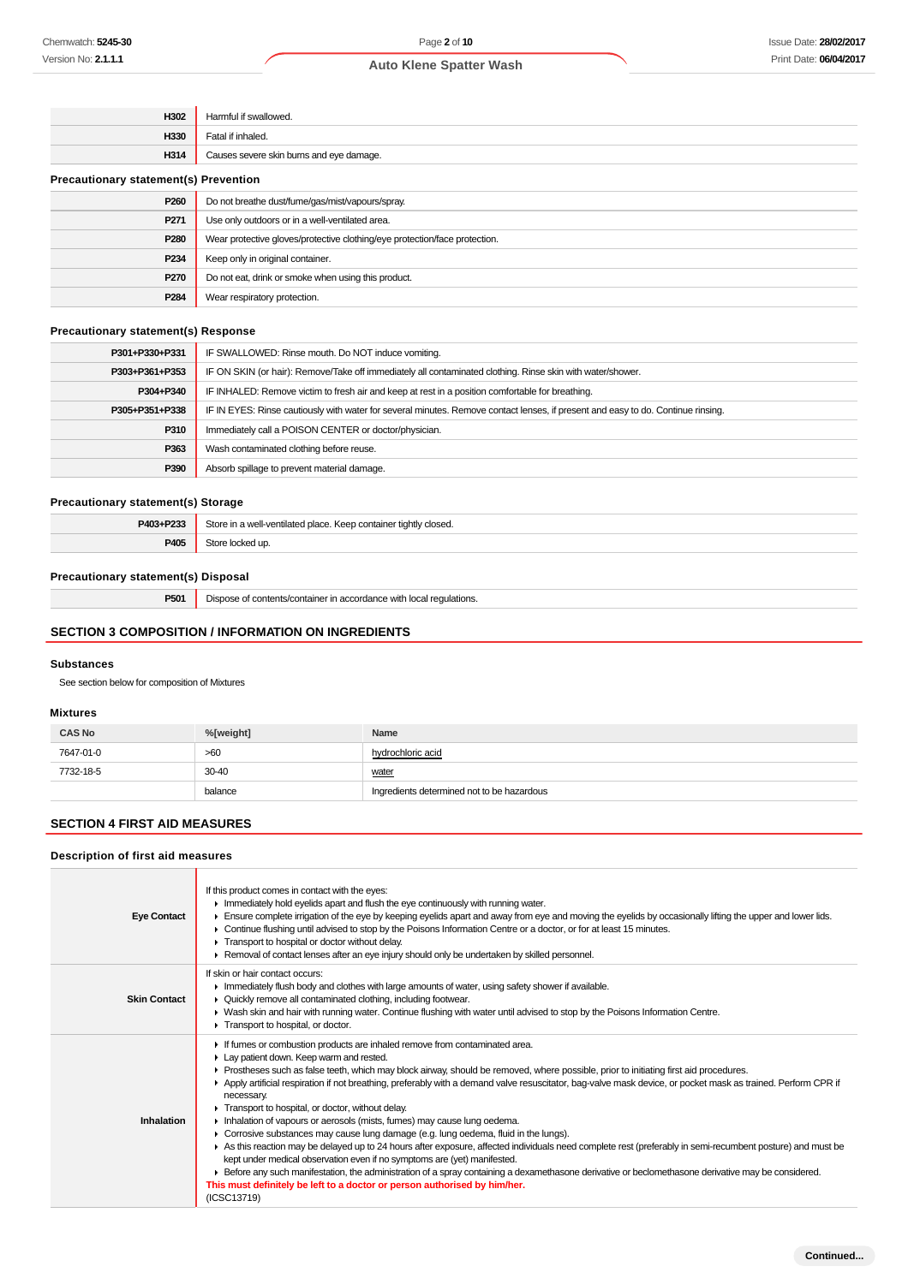| H302                                         | Harmful if swallowed.                                                      |  |
|----------------------------------------------|----------------------------------------------------------------------------|--|
| H330                                         | Fatal if inhaled.                                                          |  |
| H314                                         | Causes severe skin burns and eye damage.                                   |  |
| <b>Precautionary statement(s) Prevention</b> |                                                                            |  |
| P <sub>260</sub>                             | Do not breathe dust/fume/gas/mist/vapours/spray.                           |  |
| P271                                         | Use only outdoors or in a well-ventilated area.                            |  |
| P280                                         | Wear protective gloves/protective clothing/eye protection/face protection. |  |
| P234                                         | Keep only in original container.                                           |  |
| P270                                         | Do not eat, drink or smoke when using this product.                        |  |
| P284                                         | Wear respiratory protection.                                               |  |

### **Precautionary statement(s) Response**

| P301+P330+P331 | IF SWALLOWED: Rinse mouth. Do NOT induce vomiting.                                                                               |  |
|----------------|----------------------------------------------------------------------------------------------------------------------------------|--|
| P303+P361+P353 | IF ON SKIN (or hair): Remove/Take off immediately all contaminated clothing. Rinse skin with water/shower.                       |  |
| P304+P340      | IF INHALED: Remove victim to fresh air and keep at rest in a position comfortable for breathing.                                 |  |
| P305+P351+P338 | IF IN EYES: Rinse cautiously with water for several minutes. Remove contact lenses, if present and easy to do. Continue rinsing. |  |
| P310           | Immediately call a POISON CENTER or doctor/physician.                                                                            |  |
| P363           | Wash contaminated clothing before reuse.                                                                                         |  |
| P390           | Absorb spillage to prevent material damage.                                                                                      |  |

## **Precautionary statement(s) Storage**

| P403+P233 | Store in a well-ventilated place.<br>. Keep container tightly closed.<br>. |
|-----------|----------------------------------------------------------------------------|
| P405      | こもへい<br>red up                                                             |

### **Precautionary statement(s) Disposal**

**P501** Dispose of contents/container in accordance with local regulations.

## **SECTION 3 COMPOSITION / INFORMATION ON INGREDIENTS**

### **Substances**

See section below for composition of Mixtures

#### **Mixtures**

| <b>CAS No</b> | %[weight] | Name                                       |
|---------------|-----------|--------------------------------------------|
| 7647-01-0     | >60       | hydrochloric acid                          |
| 7732-18-5     | $30 - 40$ | water                                      |
|               | balance   | Ingredients determined not to be hazardous |

## **SECTION 4 FIRST AID MEASURES**

### **Description of first aid measures**

| <b>Eye Contact</b>  | If this product comes in contact with the eyes:<br>In mediately hold eyelids apart and flush the eye continuously with running water.<br>Ensure complete irrigation of the eye by keeping eyelids apart and away from eye and moving the eyelids by occasionally lifting the upper and lower lids.<br>► Continue flushing until advised to stop by the Poisons Information Centre or a doctor, or for at least 15 minutes.<br>Transport to hospital or doctor without delay.<br>► Removal of contact lenses after an eye injury should only be undertaken by skilled personnel.                                                                                                                                                                                                                                                                                                                                                                                                                                                                                                                                                                                     |
|---------------------|---------------------------------------------------------------------------------------------------------------------------------------------------------------------------------------------------------------------------------------------------------------------------------------------------------------------------------------------------------------------------------------------------------------------------------------------------------------------------------------------------------------------------------------------------------------------------------------------------------------------------------------------------------------------------------------------------------------------------------------------------------------------------------------------------------------------------------------------------------------------------------------------------------------------------------------------------------------------------------------------------------------------------------------------------------------------------------------------------------------------------------------------------------------------|
| <b>Skin Contact</b> | If skin or hair contact occurs:<br>In Immediately flush body and clothes with large amounts of water, using safety shower if available.<br>• Quickly remove all contaminated clothing, including footwear.<br>► Wash skin and hair with running water. Continue flushing with water until advised to stop by the Poisons Information Centre.<br>Transport to hospital, or doctor.                                                                                                                                                                                                                                                                                                                                                                                                                                                                                                                                                                                                                                                                                                                                                                                   |
| Inhalation          | If fumes or combustion products are inhaled remove from contaminated area.<br>Lay patient down. Keep warm and rested.<br>► Prostheses such as false teeth, which may block airway, should be removed, where possible, prior to initiating first aid procedures.<br>▶ Apply artificial respiration if not breathing, preferably with a demand valve resuscitator, bag-valve mask device, or pocket mask as trained. Perform CPR if<br>necessary.<br>Transport to hospital, or doctor, without delay.<br>Inhalation of vapours or aerosols (mists, fumes) may cause lung oedema.<br>• Corrosive substances may cause lung damage (e.g. lung oedema, fluid in the lungs).<br>As this reaction may be delayed up to 24 hours after exposure, affected individuals need complete rest (preferably in semi-recumbent posture) and must be<br>kept under medical observation even if no symptoms are (yet) manifested.<br>E Before any such manifestation, the administration of a spray containing a dexamethasone derivative or beclomethasone derivative may be considered.<br>This must definitely be left to a doctor or person authorised by him/her.<br>(ICSC13719) |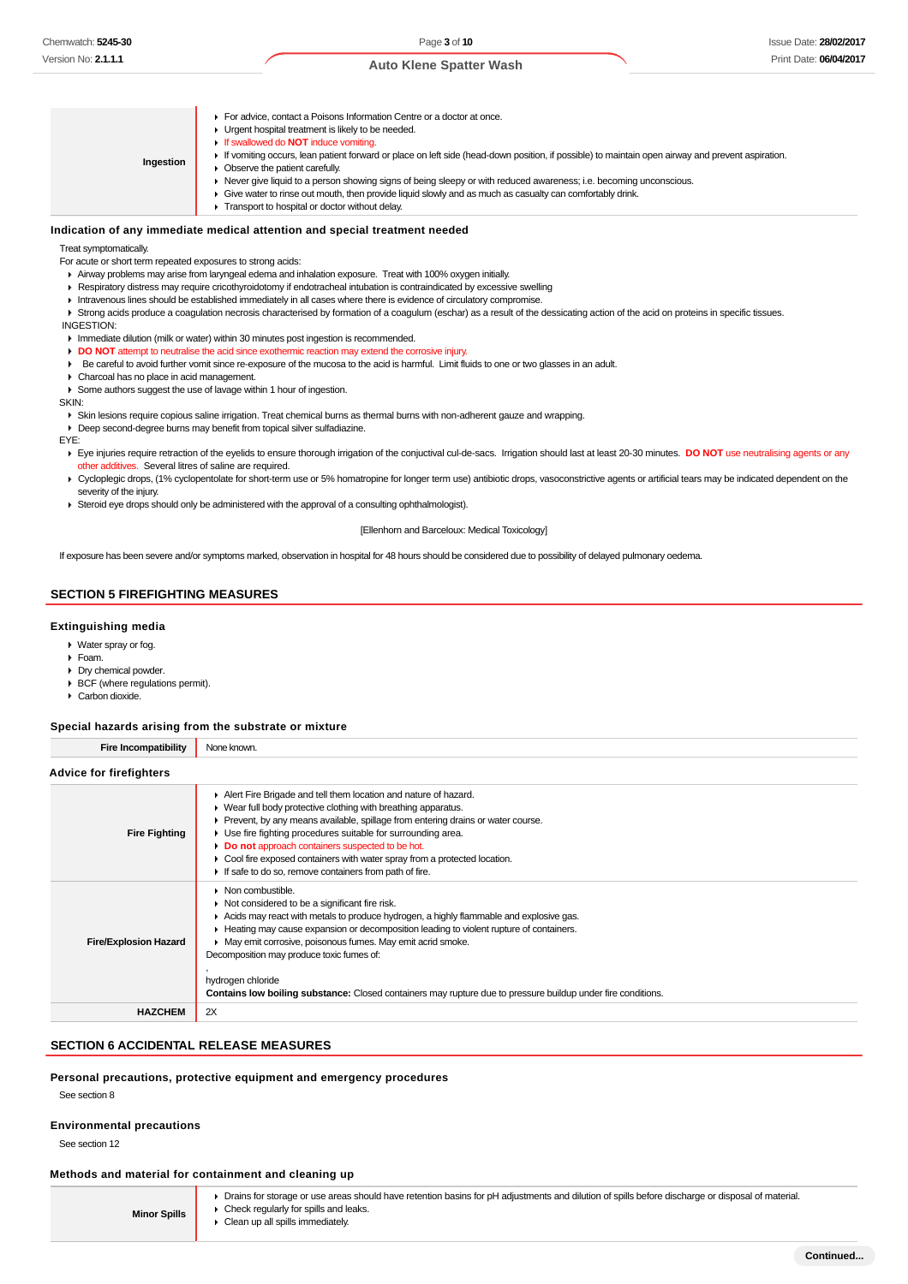**Ingestion For advice, contact a Poisons Information Centre or a doctor at once. I** Urgent hospital treatment is likely to be needed. If swallowed do **NOT** induce vomiting. If vomiting occurs, lean patient forward or place on left side (head-down position, if possible) to maintain open airway and prevent aspiration. ▶ Observe the patient carefully. Never give liquid to a person showing signs of being sleepy or with reduced awareness; i.e. becoming unconscious. Give water to rinse out mouth, then provide liquid slowly and as much as casualty can comfortably drink. **Transport to hospital or doctor without delay.** 

#### **Indication of any immediate medical attention and special treatment needed**

Treat symptomatically.

For acute or short term repeated exposures to strong acids:

- Airway problems may arise from laryngeal edema and inhalation exposure. Treat with 100% oxygen initially.
- Respiratory distress may require cricothyroidotomy if endotracheal intubation is contraindicated by excessive swelling
- Intravenous lines should be established immediately in all cases where there is evidence of circulatory compromise.
- ▶ Strong acids produce a coagulation necrosis characterised by formation of a coagulum (eschar) as a result of the dessicating action of the acid on proteins in specific tissues.

 INGESTION: Immediate dilution (milk or water) within 30 minutes post ingestion is recommended.

- **DO NOT** attempt to neutralise the acid since exothermic reaction may extend the corrosive injury.
- Be careful to avoid further vomit since re-exposure of the mucosa to the acid is harmful. Limit fluids to one or two glasses in an adult.
- Charcoal has no place in acid management.
- Some authors suggest the use of lavage within 1 hour of ingestion.

SKIN:

Skin lesions require copious saline irrigation. Treat chemical burns as thermal burns with non-adherent gauze and wrapping.

- Deep second-degree burns may benefit from topical silver sulfadiazine.
- EYE:

Eye injuries require retraction of the eyelids to ensure thorough irrigation of the conjuctival cul-de-sacs. Irrigation should last at least 20-30 minutes. **DO NOT** use neutralising agents or any other additives. Several litres of saline are required.

- ▶ Cycloplegic drops, (1% cyclopentolate for short-term use or 5% homatropine for longer term use) antibiotic drops, vasoconstrictive agents or artificial tears may be indicated dependent on the severity of the injury.
- Steroid eye drops should only be administered with the approval of a consulting ophthalmologist).

[Ellenhorn and Barceloux: Medical Toxicology]

If exposure has been severe and/or symptoms marked, observation in hospital for 48 hours should be considered due to possibility of delayed pulmonary oedema.

#### **SECTION 5 FIREFIGHTING MEASURES**

#### **Extinguishing media**

- Water spray or fog.
- Foam.
- Dry chemical powder.
- BCF (where regulations permit).
- ▶ Carbon dioxide.

#### **Special hazards arising from the substrate or mixture**

| <b>Fire Incompatibility</b>  | None known.                                                                                                                                                                                                                                                                                                                                                                                                                                                                                                                |
|------------------------------|----------------------------------------------------------------------------------------------------------------------------------------------------------------------------------------------------------------------------------------------------------------------------------------------------------------------------------------------------------------------------------------------------------------------------------------------------------------------------------------------------------------------------|
| Advice for firefighters      |                                                                                                                                                                                                                                                                                                                                                                                                                                                                                                                            |
| <b>Fire Fighting</b>         | Alert Fire Brigade and tell them location and nature of hazard.<br>▶ Wear full body protective clothing with breathing apparatus.<br>► Prevent, by any means available, spillage from entering drains or water course.<br>▶ Use fire fighting procedures suitable for surrounding area.<br>Do not approach containers suspected to be hot.<br>▶ Cool fire exposed containers with water spray from a protected location.<br>If safe to do so, remove containers from path of fire.                                         |
| <b>Fire/Explosion Hazard</b> | $\triangleright$ Non combustible.<br>Not considered to be a significant fire risk.<br>Acids may react with metals to produce hydrogen, a highly flammable and explosive gas.<br>► Heating may cause expansion or decomposition leading to violent rupture of containers.<br>• May emit corrosive, poisonous fumes. May emit acrid smoke.<br>Decomposition may produce toxic fumes of:<br>hydrogen chloride<br>Contains low boiling substance: Closed containers may rupture due to pressure buildup under fire conditions. |
| <b>HAZCHEM</b>               | 2X                                                                                                                                                                                                                                                                                                                                                                                                                                                                                                                         |

### **SECTION 6 ACCIDENTAL RELEASE MEASURES**

**Personal precautions, protective equipment and emergency procedures**

See section 8

### **Environmental precautions**

**Minor Spills**

See section 12

### **Methods and material for containment and cleaning up**

Drains for storage or use areas should have retention basins for pH adjustments and dilution of spills before discharge or disposal of material.

**Check regularly for spills and leaks.** 

#### Clean up all spills immediately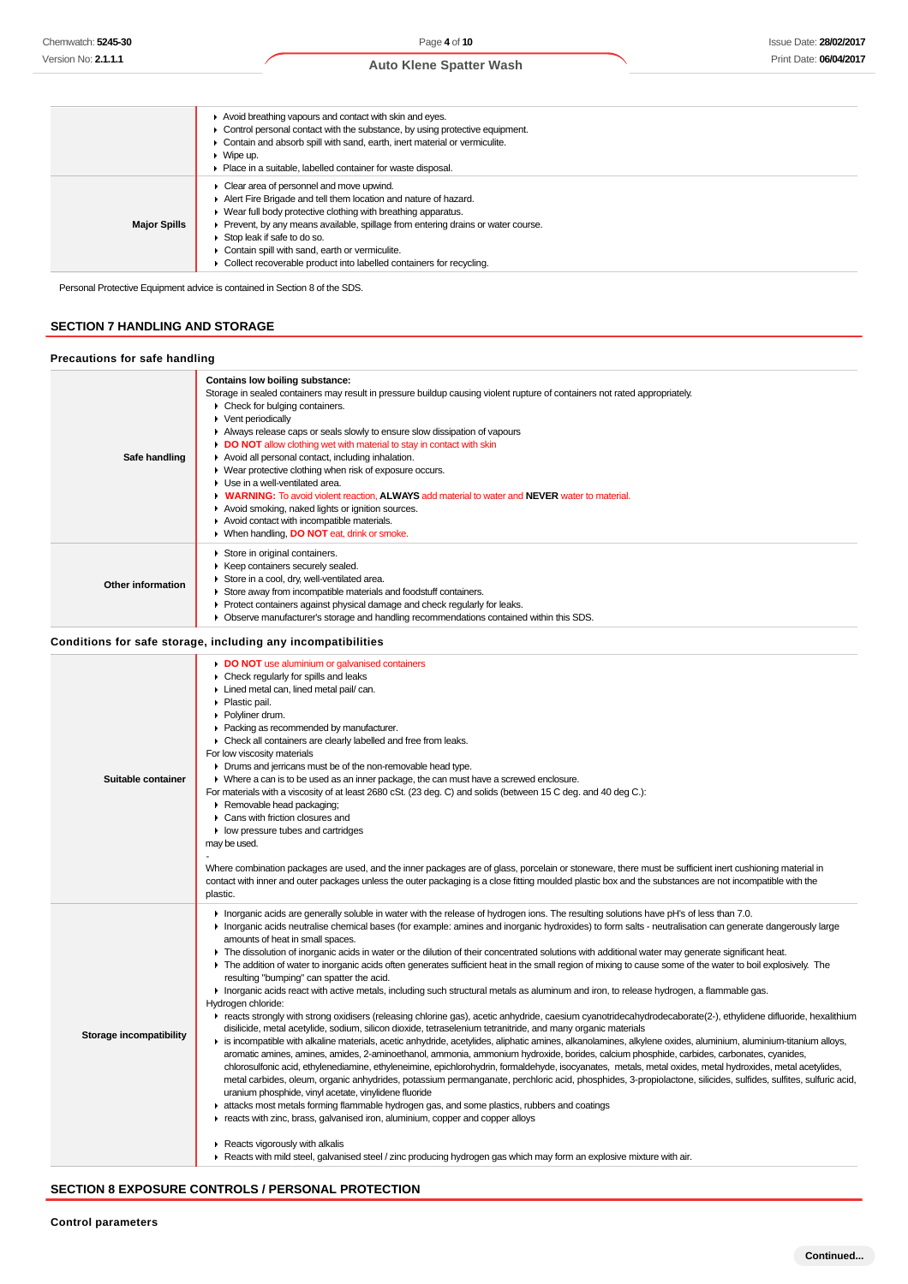|                     | Avoid breathing vapours and contact with skin and eyes.                                      |
|---------------------|----------------------------------------------------------------------------------------------|
|                     | $\triangleright$ Control personal contact with the substance, by using protective equipment. |
|                     | Contain and absorb spill with sand, earth, inert material or vermiculite.                    |
|                     | $\triangleright$ Wipe up.                                                                    |
|                     | • Place in a suitable, labelled container for waste disposal.                                |
|                     | $\triangleright$ Clear area of personnel and move upwind.                                    |
|                     | Alert Fire Brigade and tell them location and nature of hazard.                              |
|                     | $\blacktriangleright$ Wear full body protective clothing with breathing apparatus.           |
| <b>Major Spills</b> | Prevent, by any means available, spillage from entering drains or water course.              |
|                     | Stop leak if safe to do so.                                                                  |
|                     | Contain spill with sand, earth or vermiculite.                                               |
|                     | Collect recoverable product into labelled containers for recycling.                          |

**SECTION 7 HANDLING AND STORAGE**

#### **Precautions for safe handling Contains low boiling substance:** Storage in sealed containers may result in pressure buildup causing violent rupture of containers not rated appropriately. Check for bulging containers. **Vent periodically** Always release caps or seals slowly to ensure slow dissipation of vapours **DO NOT** allow clothing wet with material to stay in contact with skin **Safe handling** Avoid all personal contact, including inhalation. Wear protective clothing when risk of exposure occurs. Use in a well-ventilated area. **WARNING:** To avoid violent reaction, **ALWAYS** add material to water and **NEVER** water to material.  $\mathbf{r}$ Avoid smoking, naked lights or ignition sources. Avoid contact with incompatible materials. When handling, **DO NOT** eat, drink or smoke. ▶ Store in original containers.  $\blacktriangleright$  Keep containers securely sealed. ► Store in a cool, dry, well-ventilated area. **Other information** Store away from incompatible materials and foodstuff containers. Protect containers against physical damage and check regularly for leaks. Observe manufacturer's storage and handling recommendations contained within this SDS. **Conditions for safe storage, including any incompatibilities**

| Suitable container      | DO NOT use aluminium or galvanised containers<br>$\triangleright$ Check regularly for spills and leaks<br>Lined metal can, lined metal pail/ can.<br>• Plastic pail.<br>• Polyliner drum.<br>Packing as recommended by manufacturer.<br>• Check all containers are clearly labelled and free from leaks.<br>For low viscosity materials<br>• Drums and jerricans must be of the non-removable head type.<br>• Where a can is to be used as an inner package, the can must have a screwed enclosure.<br>For materials with a viscosity of at least 2680 cSt. (23 deg. C) and solids (between 15 C deg. and 40 deg C.):<br>Removable head packaging;<br>Cans with friction closures and<br>• low pressure tubes and cartridges<br>may be used.<br>Where combination packages are used, and the inner packages are of glass, porcelain or stoneware, there must be sufficient inert cushioning material in<br>contact with inner and outer packages unless the outer packaging is a close fitting moulded plastic box and the substances are not incompatible with the<br>plastic.                                                                                                                                                                                                                                                                                                                                                                                                                                                                                                                                                                                                                                                                                                                                                                                                                                                                                                                                                                                                                                                                                                                                                      |
|-------------------------|--------------------------------------------------------------------------------------------------------------------------------------------------------------------------------------------------------------------------------------------------------------------------------------------------------------------------------------------------------------------------------------------------------------------------------------------------------------------------------------------------------------------------------------------------------------------------------------------------------------------------------------------------------------------------------------------------------------------------------------------------------------------------------------------------------------------------------------------------------------------------------------------------------------------------------------------------------------------------------------------------------------------------------------------------------------------------------------------------------------------------------------------------------------------------------------------------------------------------------------------------------------------------------------------------------------------------------------------------------------------------------------------------------------------------------------------------------------------------------------------------------------------------------------------------------------------------------------------------------------------------------------------------------------------------------------------------------------------------------------------------------------------------------------------------------------------------------------------------------------------------------------------------------------------------------------------------------------------------------------------------------------------------------------------------------------------------------------------------------------------------------------------------------------------------------------------------------------------------------------|
| Storage incompatibility | In organic acids are generally soluble in water with the release of hydrogen ions. The resulting solutions have pH's of less than 7.0.<br>Inorganic acids neutralise chemical bases (for example: amines and inorganic hydroxides) to form salts - neutralisation can generate dangerously large<br>amounts of heat in small spaces.<br>F The dissolution of inorganic acids in water or the dilution of their concentrated solutions with additional water may generate significant heat.<br>The addition of water to inorganic acids often generates sufficient heat in the small region of mixing to cause some of the water to boil explosively. The<br>resulting "bumping" can spatter the acid.<br>Inorganic acids react with active metals, including such structural metals as aluminum and iron, to release hydrogen, a flammable gas.<br>Hydrogen chloride:<br>F reacts strongly with strong oxidisers (releasing chlorine gas), acetic anhydride, caesium cyanotridecahydrodecaborate(2-), ethylidene difluoride, hexalithium<br>disilicide, metal acetylide, sodium, silicon dioxide, tetraselenium tetranitride, and many organic materials<br>is incompatible with alkaline materials, acetic anhydride, acetylides, aliphatic amines, alkanolamines, alkylene oxides, aluminium, aluminium-titanium alloys,<br>aromatic amines, amines, amides, 2-aminoethanol, ammonia, ammonium hydroxide, borides, calcium phosphide, carbides, carbonates, cyanides,<br>chlorosulfonic acid, ethylenediamine, ethyleneimine, epichlorohydrin, formaldehyde, isocyanates, metals, metal oxides, metal hydroxides, metal acetylides,<br>metal carbides, oleum, organic anhydrides, potassium permanganate, perchloric acid, phosphides, 3-propiolactone, silicides, sulfides, sulfites, sulfuric acid,<br>uranium phosphide, vinyl acetate, vinylidene fluoride<br>A attacks most metals forming flammable hydrogen gas, and some plastics, rubbers and coatings<br>reacts with zinc, brass, galvanised iron, aluminium, copper and copper alloys<br>$\blacktriangleright$ Reacts vigorously with alkalis<br>► Reacts with mild steel, galvanised steel / zinc producing hydrogen gas which may form an explosive mixture with air. |

### **SECTION 8 EXPOSURE CONTROLS / PERSONAL PROTECTION**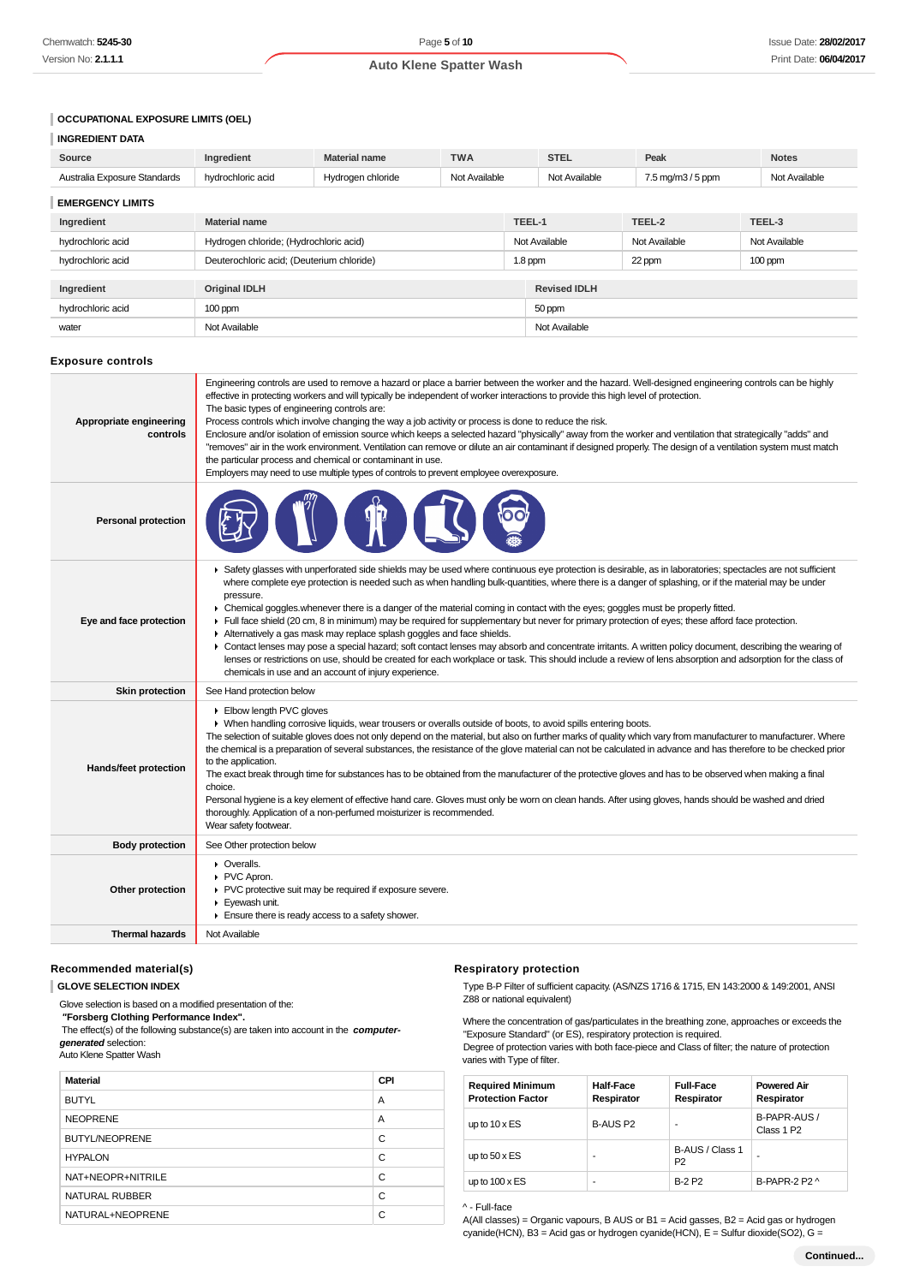### **OCCUPATIONAL EXPOSURE LIMITS (OEL)**

| <b>INGREDIENT DATA</b>       |                   |                      |               |               |                                         |               |
|------------------------------|-------------------|----------------------|---------------|---------------|-----------------------------------------|---------------|
| Source                       | Ingredient        | <b>Material name</b> | <b>TWA</b>    | <b>STEL</b>   | Peak                                    | <b>Notes</b>  |
| Australia Exposure Standards | hydrochloric acid | Hydrogen chloride    | Not Available | Not Available | $7.5 \,\mathrm{mq/m}3/5 \,\mathrm{ppm}$ | Not Available |
| <b>EMERGENCY LIMITS</b>      |                   |                      |               |               |                                         |               |

| LIVILINGLING I LIIVILIG |                                           |                     |  |               |               |
|-------------------------|-------------------------------------------|---------------------|--|---------------|---------------|
| Ingredient              | <b>Material name</b>                      | TEEL-1              |  | TEEL-2        | TEEL-3        |
| hydrochloric acid       | Hydrogen chloride; (Hydrochloric acid)    | Not Available       |  | Not Available | Not Available |
| hydrochloric acid       | Deuterochloric acid; (Deuterium chloride) | $1.8$ ppm           |  | 22 ppm        | $100$ ppm     |
|                         |                                           |                     |  |               |               |
| Ingredient              | <b>Original IDLH</b>                      | <b>Revised IDLH</b> |  |               |               |
| hydrochloric acid       | $100$ ppm                                 | 50 ppm              |  |               |               |
| water                   | Not Available                             | Not Available       |  |               |               |

#### **Exposure controls**

| Appropriate engineering<br>controls | Engineering controls are used to remove a hazard or place a barrier between the worker and the hazard. Well-designed engineering controls can be highly<br>effective in protecting workers and will typically be independent of worker interactions to provide this high level of protection.<br>The basic types of engineering controls are:<br>Process controls which involve changing the way a job activity or process is done to reduce the risk.<br>Enclosure and/or isolation of emission source which keeps a selected hazard "physically" away from the worker and ventilation that strategically "adds" and<br>"removes" air in the work environment. Ventilation can remove or dilute an air contaminant if designed properly. The design of a ventilation system must match<br>the particular process and chemical or contaminant in use.<br>Employers may need to use multiple types of controls to prevent employee overexposure.                                                                                                                                         |
|-------------------------------------|-----------------------------------------------------------------------------------------------------------------------------------------------------------------------------------------------------------------------------------------------------------------------------------------------------------------------------------------------------------------------------------------------------------------------------------------------------------------------------------------------------------------------------------------------------------------------------------------------------------------------------------------------------------------------------------------------------------------------------------------------------------------------------------------------------------------------------------------------------------------------------------------------------------------------------------------------------------------------------------------------------------------------------------------------------------------------------------------|
| <b>Personal protection</b>          |                                                                                                                                                                                                                                                                                                                                                                                                                                                                                                                                                                                                                                                                                                                                                                                                                                                                                                                                                                                                                                                                                         |
| Eye and face protection             | ▶ Safety glasses with unperforated side shields may be used where continuous eye protection is desirable, as in laboratories; spectacles are not sufficient<br>where complete eye protection is needed such as when handling bulk-quantities, where there is a danger of splashing, or if the material may be under<br>pressure.<br>• Chemical goggles whenever there is a danger of the material coming in contact with the eyes; goggles must be properly fitted.<br>Full face shield (20 cm, 8 in minimum) may be required for supplementary but never for primary protection of eyes; these afford face protection.<br>Alternatively a gas mask may replace splash goggles and face shields.<br>• Contact lenses may pose a special hazard; soft contact lenses may absorb and concentrate irritants. A written policy document, describing the wearing of<br>lenses or restrictions on use, should be created for each workplace or task. This should include a review of lens absorption and adsorption for the class of<br>chemicals in use and an account of injury experience. |
| <b>Skin protection</b>              | See Hand protection below                                                                                                                                                                                                                                                                                                                                                                                                                                                                                                                                                                                                                                                                                                                                                                                                                                                                                                                                                                                                                                                               |
| Hands/feet protection               | Elbow length PVC gloves<br>▶ When handling corrosive liquids, wear trousers or overalls outside of boots, to avoid spills entering boots.<br>The selection of suitable gloves does not only depend on the material, but also on further marks of quality which vary from manufacturer to manufacturer. Where<br>the chemical is a preparation of several substances, the resistance of the glove material can not be calculated in advance and has therefore to be checked prior<br>to the application.<br>The exact break through time for substances has to be obtained from the manufacturer of the protective gloves and has to be observed when making a final<br>choice.<br>Personal hygiene is a key element of effective hand care. Gloves must only be worn on clean hands. After using gloves, hands should be washed and dried<br>thoroughly. Application of a non-perfumed moisturizer is recommended.<br>Wear safety footwear.                                                                                                                                             |
| <b>Body protection</b>              | See Other protection below                                                                                                                                                                                                                                                                                                                                                                                                                                                                                                                                                                                                                                                                                                                                                                                                                                                                                                                                                                                                                                                              |
| Other protection                    | • Overalls.<br>PVC Apron.<br>PVC protective suit may be required if exposure severe.<br>Eyewash unit.<br>$\blacktriangleright$ Ensure there is ready access to a safety shower.                                                                                                                                                                                                                                                                                                                                                                                                                                                                                                                                                                                                                                                                                                                                                                                                                                                                                                         |
| <b>Thermal hazards</b>              | Not Available                                                                                                                                                                                                                                                                                                                                                                                                                                                                                                                                                                                                                                                                                                                                                                                                                                                                                                                                                                                                                                                                           |

#### **Recommended material(s)**

**GLOVE SELECTION INDEX**

Glove selection is based on a modified presentation of the:

 **"Forsberg Clothing Performance Index".**

 The effect(s) of the following substance(s) are taken into account in the **computergenerated** selection:

Auto Klene Spatter Wash

| <b>Material</b>       | <b>CPI</b> |
|-----------------------|------------|
| <b>BUTYL</b>          | A          |
| <b>NEOPRENE</b>       | A          |
| <b>BUTYL/NEOPRENE</b> | C          |
| <b>HYPALON</b>        | C          |
| NAT+NEOPR+NITRILE     | C          |
| NATURAL RUBBER        | С          |
| NATURAL+NEOPRENE      | C          |

#### **Respiratory protection**

Type B-P Filter of sufficient capacity. (AS/NZS 1716 & 1715, EN 143:2000 & 149:2001, ANSI Z88 or national equivalent)

Where the concentration of gas/particulates in the breathing zone, approaches or exceeds the "Exposure Standard" (or ES), respiratory protection is required.

Degree of protection varies with both face-piece and Class of filter; the nature of protection varies with Type of filter.

| <b>Required Minimum</b><br><b>Protection Factor</b> | <b>Half-Face</b><br>Respirator | <b>Full-Face</b><br>Respirator    | <b>Powered Air</b><br>Respirator       |
|-----------------------------------------------------|--------------------------------|-----------------------------------|----------------------------------------|
| up to $10 \times ES$                                | B-AUS P2                       | ۰                                 | B-PAPR-AUS /<br>Class 1 P <sub>2</sub> |
| up to $50 \times ES$                                | ۰                              | B-AUS / Class 1<br>P <sub>2</sub> | -                                      |
| up to $100 \times ES$                               | ۰                              | <b>B-2 P2</b>                     | B-PAPR-2 P2 ^                          |

^ - Full-face

A(All classes) = Organic vapours, B AUS or B1 = Acid gasses, B2 = Acid gas or hydrogen cyanide(HCN), B3 = Acid gas or hydrogen cyanide(HCN), E = Sulfur dioxide(SO2), G =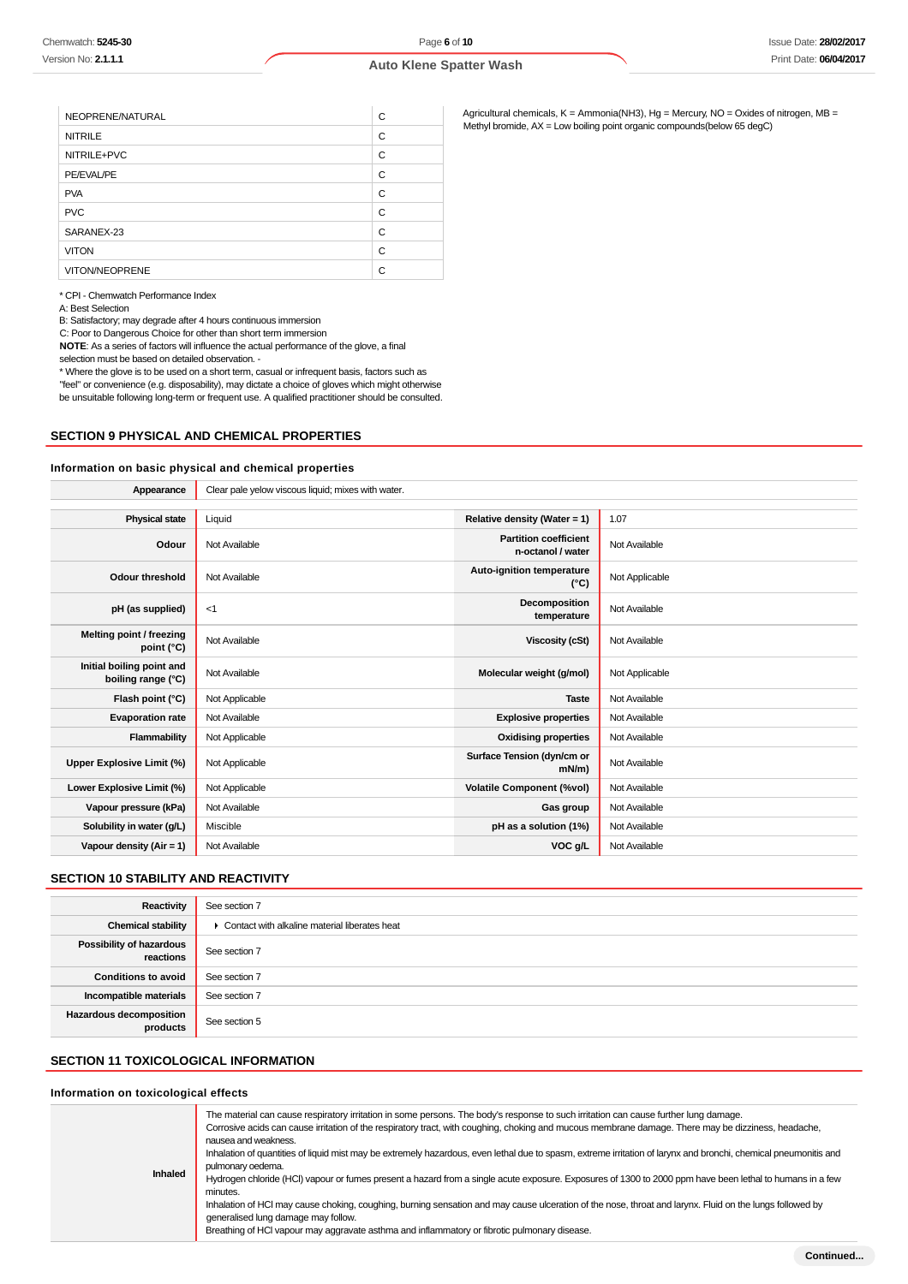| NEOPRENE/NATURAL      | С |
|-----------------------|---|
| <b>NITRILE</b>        | C |
| NITRILE+PVC           | C |
| PE/EVAL/PE            | C |
| <b>PVA</b>            | С |
| <b>PVC</b>            | C |
| SARANEX-23            | C |
| <b>VITON</b>          | С |
| <b>VITON/NEOPRENE</b> | С |

\* CPI - Chemwatch Performance Index

A: Best Selection

B: Satisfactory; may degrade after 4 hours continuous immersion

C: Poor to Dangerous Choice for other than short term immersion

**NOTE**: As a series of factors will influence the actual performance of the glove, a final selection must be based on detailed observation. -

\* Where the glove is to be used on a short term, casual or infrequent basis, factors such as "feel" or convenience (e.g. disposability), may dictate a choice of gloves which might otherwise be unsuitable following long-term or frequent use. A qualified practitioner should be consulted.

#### **SECTION 9 PHYSICAL AND CHEMICAL PROPERTIES**

#### **Information on basic physical and chemical properties**

| Appearance                                      | Clear pale yelow viscous liquid; mixes with water. |                                                   |                |
|-------------------------------------------------|----------------------------------------------------|---------------------------------------------------|----------------|
|                                                 |                                                    |                                                   |                |
| <b>Physical state</b>                           | Liquid                                             | Relative density (Water = $1$ )                   | 1.07           |
| Odour                                           | Not Available                                      | <b>Partition coefficient</b><br>n-octanol / water | Not Available  |
| <b>Odour threshold</b>                          | Not Available                                      | Auto-ignition temperature<br>$(^{\circ}C)$        | Not Applicable |
| pH (as supplied)                                | <1                                                 | Decomposition<br>temperature                      | Not Available  |
| Melting point / freezing<br>point (°C)          | Not Available                                      | <b>Viscosity (cSt)</b>                            | Not Available  |
| Initial boiling point and<br>boiling range (°C) | Not Available                                      | Molecular weight (g/mol)                          | Not Applicable |
| Flash point (°C)                                | Not Applicable                                     | <b>Taste</b>                                      | Not Available  |
| <b>Evaporation rate</b>                         | Not Available                                      | <b>Explosive properties</b>                       | Not Available  |
| Flammability                                    | Not Applicable                                     | <b>Oxidising properties</b>                       | Not Available  |
| Upper Explosive Limit (%)                       | Not Applicable                                     | Surface Tension (dyn/cm or<br>$mN/m$ )            | Not Available  |
| Lower Explosive Limit (%)                       | Not Applicable                                     | <b>Volatile Component (%vol)</b>                  | Not Available  |
| Vapour pressure (kPa)                           | Not Available                                      | Gas group                                         | Not Available  |
| Solubility in water (g/L)                       | Miscible                                           | pH as a solution (1%)                             | Not Available  |
| Vapour density ( $Air = 1$ )                    | Not Available                                      | VOC g/L                                           | Not Available  |

### **SECTION 10 STABILITY AND REACTIVITY**

| Reactivity                                 | See section 7                                   |
|--------------------------------------------|-------------------------------------------------|
| <b>Chemical stability</b>                  | • Contact with alkaline material liberates heat |
| Possibility of hazardous<br>reactions      | See section 7                                   |
| <b>Conditions to avoid</b>                 | See section 7                                   |
| Incompatible materials                     | See section 7                                   |
| <b>Hazardous decomposition</b><br>products | See section 5                                   |

## **SECTION 11 TOXICOLOGICAL INFORMATION**

### **Information on toxicological effects**

| <b>Inhaled</b> | The material can cause respiratory irritation in some persons. The body's response to such irritation can cause further lung damage.<br>Corrosive acids can cause irritation of the respiratory tract, with coughing, choking and mucous membrane damage. There may be dizziness, headache,<br>nausea and weakness.<br>Inhalation of quantities of liquid mist may be extremely hazardous, even lethal due to spasm, extreme irritation of larynx and bronchi, chemical pneumonitis and<br>pulmonary oedema.<br>Hydrogen chloride (HCl) vapour or fumes present a hazard from a single acute exposure. Exposures of 1300 to 2000 ppm have been lethal to humans in a few<br>minutes.<br>Inhalation of HCI may cause choking, coughing, burning sensation and may cause ulceration of the nose, throat and larynx. Fluid on the lungs followed by<br>generalised lung damage may follow.<br>Breathing of HCI vapour may aggravate asthma and inflammatory or fibrotic pulmonary disease. |
|----------------|-----------------------------------------------------------------------------------------------------------------------------------------------------------------------------------------------------------------------------------------------------------------------------------------------------------------------------------------------------------------------------------------------------------------------------------------------------------------------------------------------------------------------------------------------------------------------------------------------------------------------------------------------------------------------------------------------------------------------------------------------------------------------------------------------------------------------------------------------------------------------------------------------------------------------------------------------------------------------------------------|

Agricultural chemicals, K = Ammonia(NH3), Hg = Mercury, NO = Oxides of nitrogen, MB = Methyl bromide, AX = Low boiling point organic compounds(below 65 degC)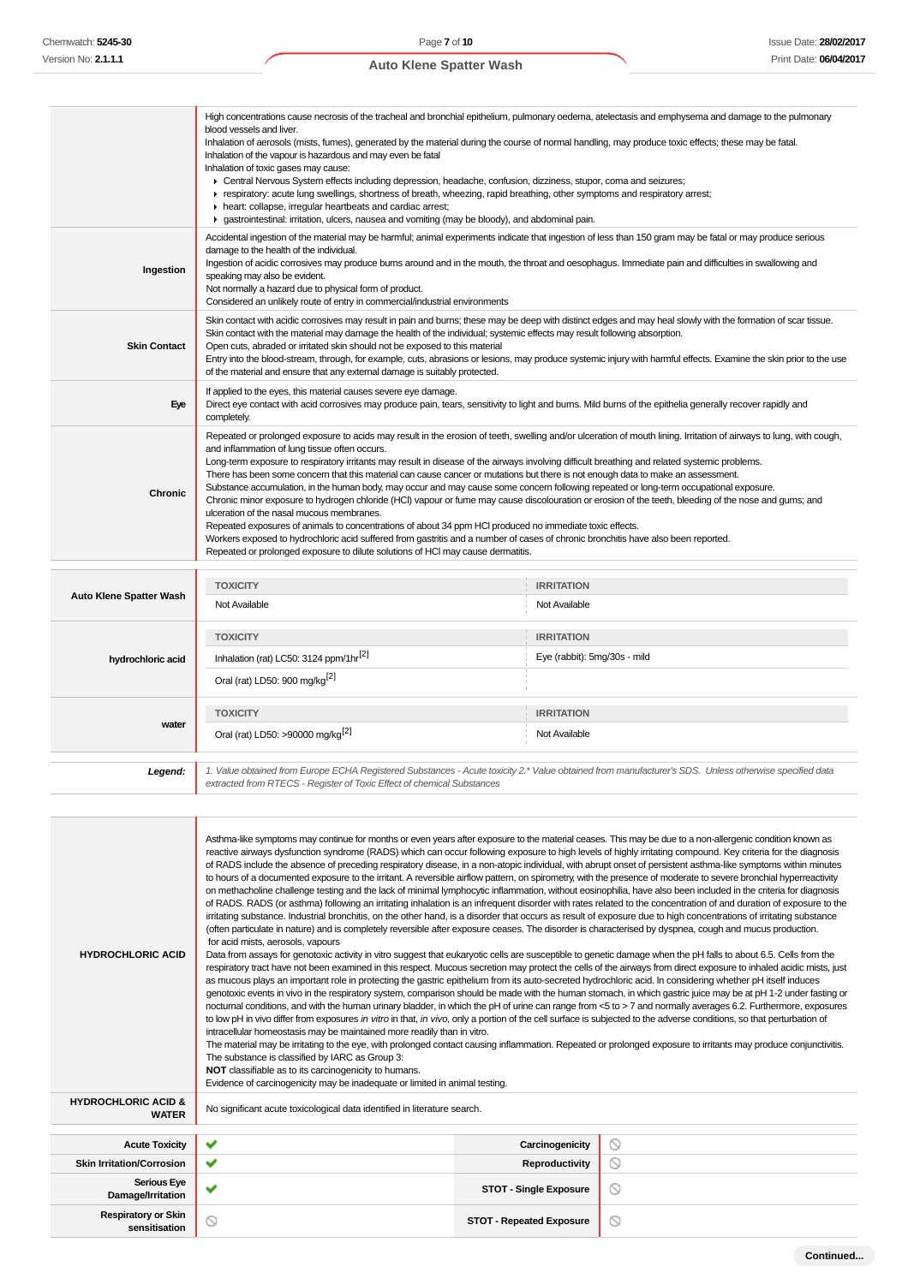|                     | High concentrations cause necrosis of the tracheal and bronchial epithelium, pulmonary oedema, atelectasis and emphysema and damage to the pulmonary<br>blood vessels and liver.                                                                                                                                                                                                                                                                                                                                                                                                                                                                                                                                                                                                                                                                                                                                                                                                                                                                                                                                                                                                             |
|---------------------|----------------------------------------------------------------------------------------------------------------------------------------------------------------------------------------------------------------------------------------------------------------------------------------------------------------------------------------------------------------------------------------------------------------------------------------------------------------------------------------------------------------------------------------------------------------------------------------------------------------------------------------------------------------------------------------------------------------------------------------------------------------------------------------------------------------------------------------------------------------------------------------------------------------------------------------------------------------------------------------------------------------------------------------------------------------------------------------------------------------------------------------------------------------------------------------------|
|                     | Inhalation of aerosols (mists, fumes), generated by the material during the course of normal handling, may produce toxic effects; these may be fatal.<br>Inhalation of the vapour is hazardous and may even be fatal<br>Inhalation of toxic gases may cause:                                                                                                                                                                                                                                                                                                                                                                                                                                                                                                                                                                                                                                                                                                                                                                                                                                                                                                                                 |
|                     | > Central Nervous System effects including depression, headache, confusion, dizziness, stupor, coma and seizures;<br>F respiratory: acute lung swellings, shortness of breath, wheezing, rapid breathing, other symptoms and respiratory arrest;<br>heart: collapse, irregular heartbeats and cardiac arrest;<br>► gastrointestinal: irritation, ulcers, nausea and vomiting (may be bloody), and abdominal pain.                                                                                                                                                                                                                                                                                                                                                                                                                                                                                                                                                                                                                                                                                                                                                                            |
| Ingestion           | Accidental ingestion of the material may be harmful; animal experiments indicate that ingestion of less than 150 gram may be fatal or may produce serious<br>damage to the health of the individual.<br>Ingestion of acidic corrosives may produce burns around and in the mouth, the throat and oesophagus. Immediate pain and difficulties in swallowing and<br>speaking may also be evident.<br>Not normally a hazard due to physical form of product.<br>Considered an unlikely route of entry in commercial/industrial environments                                                                                                                                                                                                                                                                                                                                                                                                                                                                                                                                                                                                                                                     |
| <b>Skin Contact</b> | Skin contact with acidic corrosives may result in pain and burns; these may be deep with distinct edges and may heal slowly with the formation of scar tissue.<br>Skin contact with the material may damage the health of the individual; systemic effects may result following absorption.<br>Open cuts, abraded or irritated skin should not be exposed to this material<br>Entry into the blood-stream, through, for example, cuts, abrasions or lesions, may produce systemic injury with harmful effects. Examine the skin prior to the use<br>of the material and ensure that any external damage is suitably protected.                                                                                                                                                                                                                                                                                                                                                                                                                                                                                                                                                               |
| Eye                 | If applied to the eyes, this material causes severe eye damage.<br>Direct eye contact with acid corrosives may produce pain, tears, sensitivity to light and burns. Mild burns of the epithelia generally recover rapidly and<br>completely.                                                                                                                                                                                                                                                                                                                                                                                                                                                                                                                                                                                                                                                                                                                                                                                                                                                                                                                                                 |
| <b>Chronic</b>      | Repeated or prolonged exposure to acids may result in the erosion of teeth, swelling and/or ulceration of mouth lining. Irritation of airways to lung, with cough,<br>and inflammation of lung tissue often occurs.<br>Long-term exposure to respiratory irritants may result in disease of the airways involving difficult breathing and related systemic problems.<br>There has been some concern that this material can cause cancer or mutations but there is not enough data to make an assessment.<br>Substance accumulation, in the human body, may occur and may cause some concern following repeated or long-term occupational exposure.<br>Chronic minor exposure to hydrogen chloride (HCI) vapour or fume may cause discolouration or erosion of the teeth, bleeding of the nose and gums; and<br>ulceration of the nasal mucous membranes.<br>Repeated exposures of animals to concentrations of about 34 ppm HCl produced no immediate toxic effects.<br>Workers exposed to hydrochloric acid suffered from gastritis and a number of cases of chronic bronchitis have also been reported.<br>Repeated or prolonged exposure to dilute solutions of HCl may cause dermatitis. |
|                     |                                                                                                                                                                                                                                                                                                                                                                                                                                                                                                                                                                                                                                                                                                                                                                                                                                                                                                                                                                                                                                                                                                                                                                                              |

|                                | <b>TOXICITY</b>                                                                                                                                                                                                                 | <b>IRRITATION</b>            |
|--------------------------------|---------------------------------------------------------------------------------------------------------------------------------------------------------------------------------------------------------------------------------|------------------------------|
| <b>Auto Klene Spatter Wash</b> | Not Available                                                                                                                                                                                                                   | Not Available                |
|                                | <b>TOXICITY</b>                                                                                                                                                                                                                 | <b>IRRITATION</b>            |
| hydrochloric acid              | Inhalation (rat) LC50: 3124 ppm/1hr <sup>[2]</sup>                                                                                                                                                                              | Eye (rabbit): 5mg/30s - mild |
|                                | Oral (rat) LD50: 900 mg/kg <sup>[2]</sup>                                                                                                                                                                                       |                              |
|                                | <b>TOXICITY</b>                                                                                                                                                                                                                 | <b>IRRITATION</b>            |
| water                          | Oral (rat) LD50: >90000 mg/kg <sup>[2]</sup>                                                                                                                                                                                    | Not Available                |
|                                |                                                                                                                                                                                                                                 |                              |
| Legend:                        | 1. Value obtained from Europe ECHA Registered Substances - Acute toxicity 2.* Value obtained from manufacturer's SDS. Unless otherwise specified data<br>extracted from RTECS - Register of Toxic Effect of chemical Substances |                              |

| <b>HYDROCHLORIC ACID</b>                       | Asthma-like symptoms may continue for months or even years after exposure to the material ceases. This may be due to a non-allergenic condition known as<br>reactive airways dysfunction syndrome (RADS) which can occur following exposure to high levels of highly irritating compound. Key criteria for the diagnosis<br>of RADS include the absence of preceding respiratory disease, in a non-atopic individual, with abrupt onset of persistent asthma-like symptoms within minutes<br>to hours of a documented exposure to the irritant. A reversible airflow pattern, on spirometry, with the presence of moderate to severe bronchial hyperreactivity<br>on methacholine challenge testing and the lack of minimal lymphocytic inflammation, without eosinophilia, have also been included in the criteria for diagnosis<br>of RADS. RADS (or asthma) following an irritating inhalation is an infrequent disorder with rates related to the concentration of and duration of exposure to the<br>irritating substance. Industrial bronchitis, on the other hand, is a disorder that occurs as result of exposure due to high concentrations of irritating substance<br>(often particulate in nature) and is completely reversible after exposure ceases. The disorder is characterised by dyspnea, cough and mucus production.<br>for acid mists, aerosols, vapours<br>Data from assays for genotoxic activity in vitro suggest that eukaryotic cells are susceptible to genetic damage when the pH falls to about 6.5. Cells from the<br>respiratory tract have not been examined in this respect. Mucous secretion may protect the cells of the airways from direct exposure to inhaled acidic mists, just<br>as mucous plays an important role in protecting the gastric epithelium from its auto-secreted hydrochloric acid. In considering whether pH itself induces<br>genotoxic events in vivo in the respiratory system, comparison should be made with the human stomach, in which gastric juice may be at pH 1-2 under fasting or<br>nocturnal conditions, and with the human urinary bladder, in which the pH of urine can range from <5 to > 7 and normally averages 6.2. Furthermore, exposures<br>to low pH in vivo differ from exposures in vitro in that, in vivo, only a portion of the cell surface is subjected to the adverse conditions, so that perturbation of<br>intracellular homeostasis may be maintained more readily than in vitro.<br>The material may be irritating to the eye, with prolonged contact causing inflammation. Repeated or prolonged exposure to irritants may produce conjunctivitis.<br>The substance is classified by IARC as Group 3:<br>NOT classifiable as to its carcinogenicity to humans.<br>Evidence of carcinogenicity may be inadequate or limited in animal testing. |                                 |                |
|------------------------------------------------|-----------------------------------------------------------------------------------------------------------------------------------------------------------------------------------------------------------------------------------------------------------------------------------------------------------------------------------------------------------------------------------------------------------------------------------------------------------------------------------------------------------------------------------------------------------------------------------------------------------------------------------------------------------------------------------------------------------------------------------------------------------------------------------------------------------------------------------------------------------------------------------------------------------------------------------------------------------------------------------------------------------------------------------------------------------------------------------------------------------------------------------------------------------------------------------------------------------------------------------------------------------------------------------------------------------------------------------------------------------------------------------------------------------------------------------------------------------------------------------------------------------------------------------------------------------------------------------------------------------------------------------------------------------------------------------------------------------------------------------------------------------------------------------------------------------------------------------------------------------------------------------------------------------------------------------------------------------------------------------------------------------------------------------------------------------------------------------------------------------------------------------------------------------------------------------------------------------------------------------------------------------------------------------------------------------------------------------------------------------------------------------------------------------------------------------------------------------------------------------------------------------------------------------------------------------------------------------------------------------------------------------------------------------------------------------------------------------------------------------------------------------------------------------------------------------------------------------------|---------------------------------|----------------|
| <b>HYDROCHLORIC ACID &amp;</b><br><b>WATER</b> | No significant acute toxicological data identified in literature search.                                                                                                                                                                                                                                                                                                                                                                                                                                                                                                                                                                                                                                                                                                                                                                                                                                                                                                                                                                                                                                                                                                                                                                                                                                                                                                                                                                                                                                                                                                                                                                                                                                                                                                                                                                                                                                                                                                                                                                                                                                                                                                                                                                                                                                                                                                                                                                                                                                                                                                                                                                                                                                                                                                                                                                |                                 |                |
|                                                |                                                                                                                                                                                                                                                                                                                                                                                                                                                                                                                                                                                                                                                                                                                                                                                                                                                                                                                                                                                                                                                                                                                                                                                                                                                                                                                                                                                                                                                                                                                                                                                                                                                                                                                                                                                                                                                                                                                                                                                                                                                                                                                                                                                                                                                                                                                                                                                                                                                                                                                                                                                                                                                                                                                                                                                                                                         |                                 |                |
| <b>Acute Toxicity</b>                          | ✓                                                                                                                                                                                                                                                                                                                                                                                                                                                                                                                                                                                                                                                                                                                                                                                                                                                                                                                                                                                                                                                                                                                                                                                                                                                                                                                                                                                                                                                                                                                                                                                                                                                                                                                                                                                                                                                                                                                                                                                                                                                                                                                                                                                                                                                                                                                                                                                                                                                                                                                                                                                                                                                                                                                                                                                                                                       | Carcinogenicity                 | $\circledcirc$ |
| <b>Skin Irritation/Corrosion</b>               | ✔                                                                                                                                                                                                                                                                                                                                                                                                                                                                                                                                                                                                                                                                                                                                                                                                                                                                                                                                                                                                                                                                                                                                                                                                                                                                                                                                                                                                                                                                                                                                                                                                                                                                                                                                                                                                                                                                                                                                                                                                                                                                                                                                                                                                                                                                                                                                                                                                                                                                                                                                                                                                                                                                                                                                                                                                                                       | Reproductivity                  | ◎              |
| <b>Serious Eye</b><br>Damage/Irritation        | ✔                                                                                                                                                                                                                                                                                                                                                                                                                                                                                                                                                                                                                                                                                                                                                                                                                                                                                                                                                                                                                                                                                                                                                                                                                                                                                                                                                                                                                                                                                                                                                                                                                                                                                                                                                                                                                                                                                                                                                                                                                                                                                                                                                                                                                                                                                                                                                                                                                                                                                                                                                                                                                                                                                                                                                                                                                                       | <b>STOT - Single Exposure</b>   | ◎              |
| <b>Respiratory or Skin</b><br>sensitisation    | $\circledcirc$                                                                                                                                                                                                                                                                                                                                                                                                                                                                                                                                                                                                                                                                                                                                                                                                                                                                                                                                                                                                                                                                                                                                                                                                                                                                                                                                                                                                                                                                                                                                                                                                                                                                                                                                                                                                                                                                                                                                                                                                                                                                                                                                                                                                                                                                                                                                                                                                                                                                                                                                                                                                                                                                                                                                                                                                                          | <b>STOT - Repeated Exposure</b> | ◎              |
|                                                |                                                                                                                                                                                                                                                                                                                                                                                                                                                                                                                                                                                                                                                                                                                                                                                                                                                                                                                                                                                                                                                                                                                                                                                                                                                                                                                                                                                                                                                                                                                                                                                                                                                                                                                                                                                                                                                                                                                                                                                                                                                                                                                                                                                                                                                                                                                                                                                                                                                                                                                                                                                                                                                                                                                                                                                                                                         |                                 |                |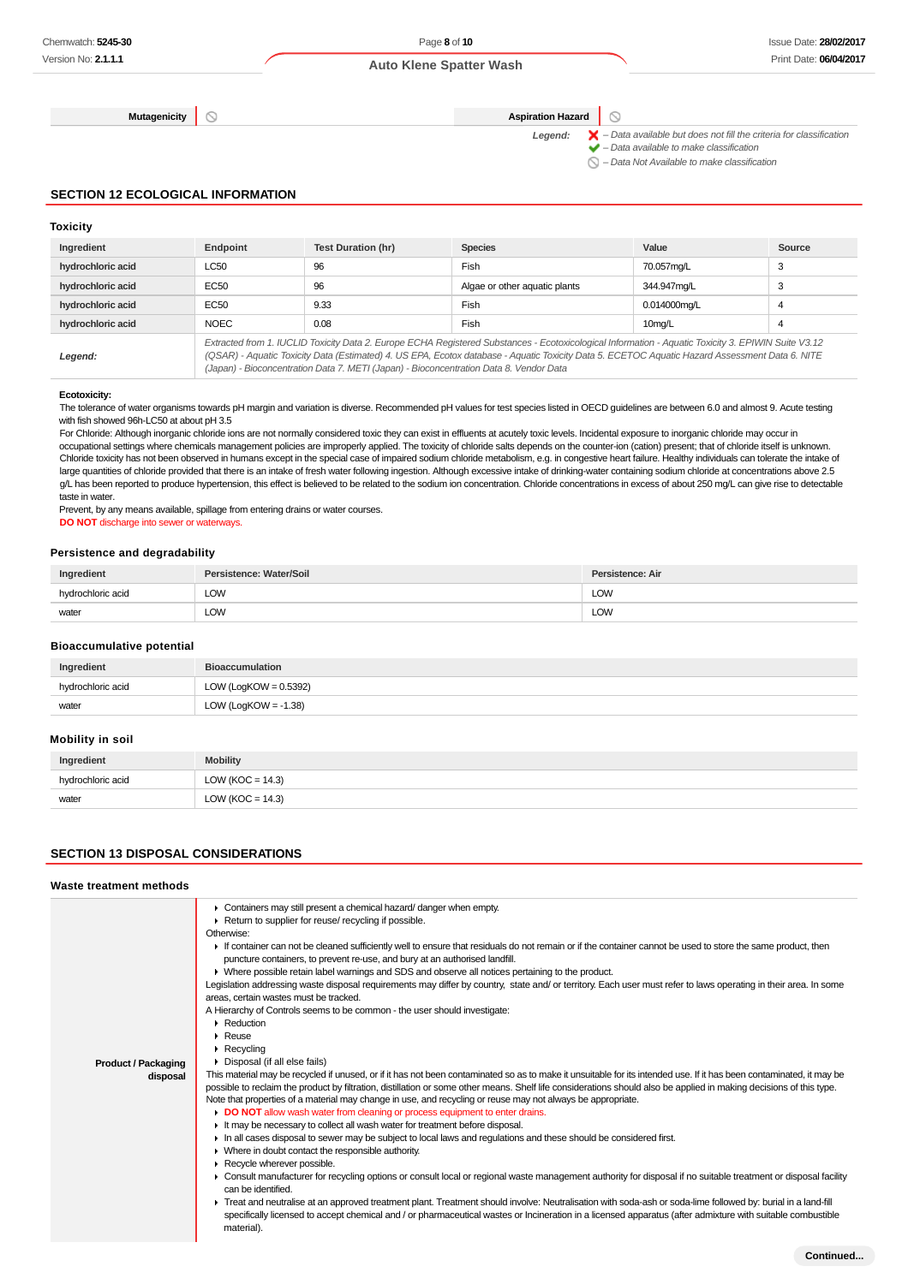**Mutagenicity Aspiration Hazard**  $\circledcirc$ 

Legend:  $\blacktriangleright$  - Data available but does not fill the criteria for classification  $\blacktriangleright$  – Data available to make classification

 $\bigcirc$  – Data Not Available to make classification

#### **SECTION 12 ECOLOGICAL INFORMATION**

### **Toxicity**

| Ingredient        | Endpoint                                                                                                                                                                                                                                                                                                                                                                                        | <b>Test Duration (hr)</b> | <b>Species</b>                | Value               | Source |
|-------------------|-------------------------------------------------------------------------------------------------------------------------------------------------------------------------------------------------------------------------------------------------------------------------------------------------------------------------------------------------------------------------------------------------|---------------------------|-------------------------------|---------------------|--------|
| hydrochloric acid | LC50                                                                                                                                                                                                                                                                                                                                                                                            | 96                        | Fish                          | 70.057mg/L          | 3      |
| hydrochloric acid | <b>EC50</b>                                                                                                                                                                                                                                                                                                                                                                                     | 96                        | Algae or other aquatic plants | 344.947mg/L         | 3      |
| hydrochloric acid | EC50                                                                                                                                                                                                                                                                                                                                                                                            | 9.33                      | Fish                          | 0.014000mg/L        | 4      |
| hydrochloric acid | <b>NOEC</b>                                                                                                                                                                                                                                                                                                                                                                                     | 0.08                      | Fish                          | 10 <sub>mg</sub> /L | 4      |
| Legend:           | Extracted from 1. IUCLID Toxicity Data 2. Europe ECHA Registered Substances - Ecotoxicological Information - Aquatic Toxicity 3. EPIWIN Suite V3.12<br>(QSAR) - Aquatic Toxicity Data (Estimated) 4. US EPA, Ecotox database - Aquatic Toxicity Data 5. ECETOC Aquatic Hazard Assessment Data 6. NITE<br>(Japan) - Bioconcentration Data 7. METI (Japan) - Bioconcentration Data 8. Vendor Data |                           |                               |                     |        |

#### **Ecotoxicity:**

The tolerance of water organisms towards pH margin and variation is diverse. Recommended pH values for test species listed in OECD guidelines are between 6.0 and almost 9. Acute testing with fish showed 96h-LC50 at about pH 3.5

For Chloride: Although inorganic chloride ions are not normally considered toxic they can exist in effluents at acutely toxic levels. Incidental exposure to inorganic chloride may occur in occupational settings where chemicals management policies are improperly applied. The toxicity of chloride salts depends on the counter-ion (cation) present; that of chloride itself is unknown. Chloride toxicity has not been observed in humans except in the special case of impaired sodium chloride metabolism, e.g. in congestive heart failure. Healthy individuals can tolerate the intake of large quantities of chloride provided that there is an intake of fresh water following ingestion. Although excessive intake of drinking-water containing sodium chloride at concentrations above 2.5 g/L has been reported to produce hypertension, this effect is believed to be related to the sodium ion concentration. Chloride concentrations in excess of about 250 mg/L can give rise to detectable taste in water.

Prevent, by any means available, spillage from entering drains or water courses.

**DO NOT** discharge into sewer or waterways.

#### **Persistence and degradability**

| Ingredient        | Persistence: Water/Soil | Persistence: Air |
|-------------------|-------------------------|------------------|
| hydrochloric acid | <b>LOW</b>              | <b>LOW</b>       |
| water             | <b>LOW</b>              | <b>LOW</b>       |

#### **Bioaccumulative potential**

| Ingredient        | <b>Bioaccumulation</b>   |
|-------------------|--------------------------|
| hydrochloric acid | LOW (LogKOW = $0.5392$ ) |
| water             | LOW (LogKOW = $-1.38$ )  |

#### **Mobility in soil**

| Ingredient        | <b>Mobility</b>      |
|-------------------|----------------------|
| hydrochloric acid | LOW ( $KOC = 14.3$ ) |
| water             | LOW ( $KOC = 14.3$ ) |

### **SECTION 13 DISPOSAL CONSIDERATIONS**

#### **Waste treatment methods**

| • Containers may still present a chemical hazard/danger when empty.<br>Return to supplier for reuse/ recycling if possible.<br>Otherwise:<br>If container can not be cleaned sufficiently well to ensure that residuals do not remain or if the container cannot be used to store the same product, then<br>puncture containers, to prevent re-use, and bury at an authorised landfill.<br>• Where possible retain label warnings and SDS and observe all notices pertaining to the product.<br>Legislation addressing waste disposal requirements may differ by country, state and/ or territory. Each user must refer to laws operating in their area. In some<br>areas, certain wastes must be tracked.<br>A Hierarchy of Controls seems to be common - the user should investigate:<br>• Reduction<br>$\blacktriangleright$ Reuse<br>$\triangleright$ Recycling<br>Disposal (if all else fails)<br>This material may be recycled if unused, or if it has not been contaminated so as to make it unsuitable for its intended use. If it has been contaminated, it may be<br>possible to reclaim the product by filtration, distillation or some other means. Shelf life considerations should also be applied in making decisions of this type.<br>Note that properties of a material may change in use, and recycling or reuse may not always be appropriate.<br>DO NOT allow wash water from cleaning or process equipment to enter drains.<br>It may be necessary to collect all wash water for treatment before disposal.<br>In all cases disposal to sewer may be subject to local laws and regulations and these should be considered first.<br>• Where in doubt contact the responsible authority.<br>Recycle wherever possible.<br>• Consult manufacturer for recycling options or consult local or regional waste management authority for disposal if no suitable treatment or disposal facility<br>can be identified.<br>F Treat and neutralise at an approved treatment plant. Treatment should involve: Neutralisation with soda-ash or soda-lime followed by: burial in a land-fill |
|------------------------------------------------------------------------------------------------------------------------------------------------------------------------------------------------------------------------------------------------------------------------------------------------------------------------------------------------------------------------------------------------------------------------------------------------------------------------------------------------------------------------------------------------------------------------------------------------------------------------------------------------------------------------------------------------------------------------------------------------------------------------------------------------------------------------------------------------------------------------------------------------------------------------------------------------------------------------------------------------------------------------------------------------------------------------------------------------------------------------------------------------------------------------------------------------------------------------------------------------------------------------------------------------------------------------------------------------------------------------------------------------------------------------------------------------------------------------------------------------------------------------------------------------------------------------------------------------------------------------------------------------------------------------------------------------------------------------------------------------------------------------------------------------------------------------------------------------------------------------------------------------------------------------------------------------------------------------------------------------------------------------------------------------------------------------------------------------------|
| specifically licensed to accept chemical and / or pharmaceutical wastes or Incineration in a licensed apparatus (after admixture with suitable combustible<br>material).                                                                                                                                                                                                                                                                                                                                                                                                                                                                                                                                                                                                                                                                                                                                                                                                                                                                                                                                                                                                                                                                                                                                                                                                                                                                                                                                                                                                                                                                                                                                                                                                                                                                                                                                                                                                                                                                                                                             |
|                                                                                                                                                                                                                                                                                                                                                                                                                                                                                                                                                                                                                                                                                                                                                                                                                                                                                                                                                                                                                                                                                                                                                                                                                                                                                                                                                                                                                                                                                                                                                                                                                                                                                                                                                                                                                                                                                                                                                                                                                                                                                                      |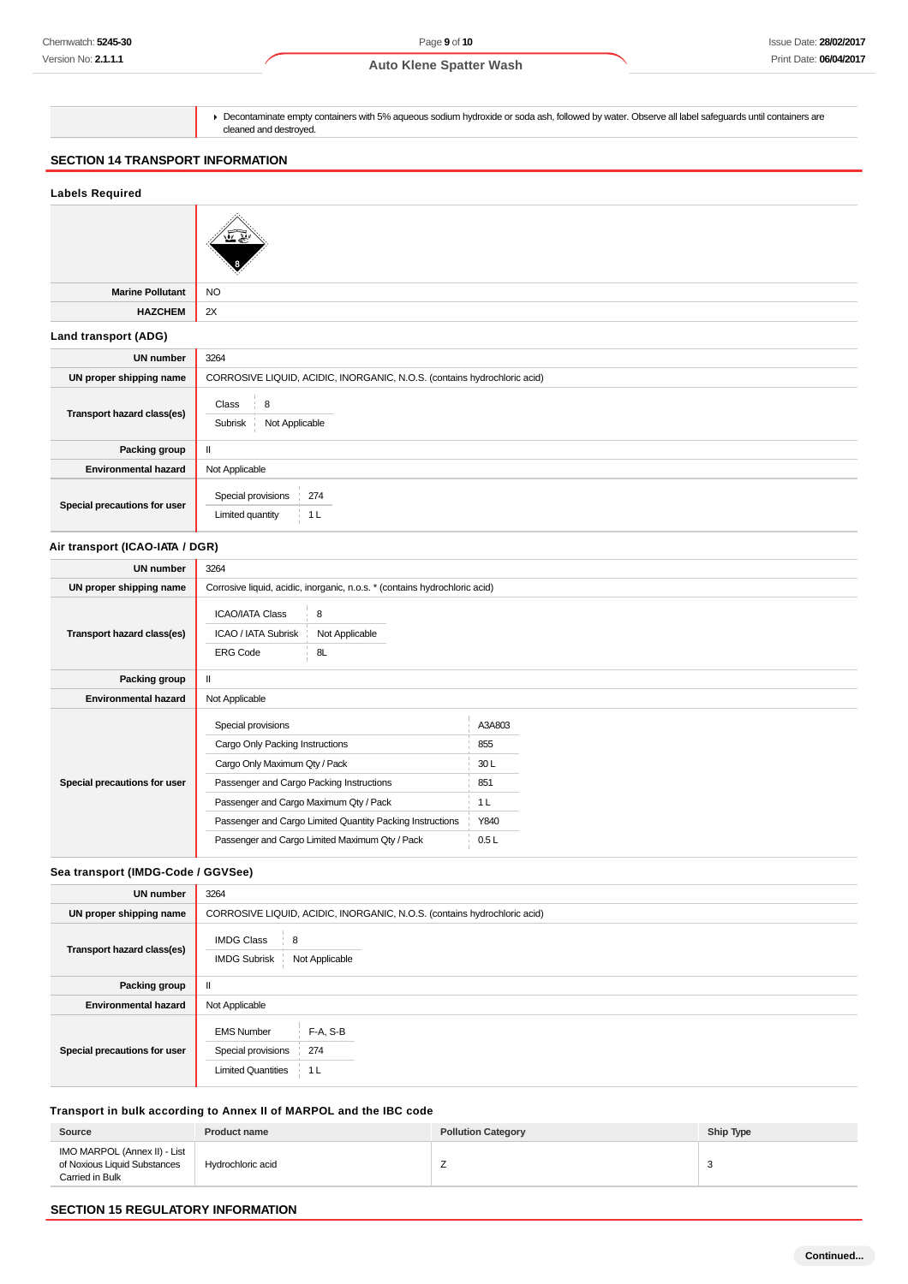Decontaminate empty containers with 5% aqueous sodium hydroxide or soda ash, followed by water. Observe all label safeguards until containers are cleaned and destroyed.

# **SECTION 14 TRANSPORT INFORMATION**

## **Labels Required**



**Marine Pollutant** NO **HAZCHEM** 2X

# **Land transport (ADG)**

| 3264                                                                     |
|--------------------------------------------------------------------------|
| CORROSIVE LIQUID, ACIDIC, INORGANIC, N.O.S. (contains hydrochloric acid) |
| Class<br>8<br>Subrisk<br>Not Applicable                                  |
| $\mathbf{I}$                                                             |
| Not Applicable                                                           |
| Special provisions<br>274<br>Limited quantity<br>1 L                     |
|                                                                          |

### **Air transport (ICAO-IATA / DGR)**

| UN number                    | 3264                                                                                                                                                                                                                                                                                        |                                                               |  |
|------------------------------|---------------------------------------------------------------------------------------------------------------------------------------------------------------------------------------------------------------------------------------------------------------------------------------------|---------------------------------------------------------------|--|
| UN proper shipping name      | Corrosive liquid, acidic, inorganic, n.o.s. * (contains hydrochloric acid)                                                                                                                                                                                                                  |                                                               |  |
| Transport hazard class(es)   | <b>ICAO/IATA Class</b><br>8<br>ICAO / IATA Subrisk<br>Not Applicable<br>8L<br><b>ERG Code</b>                                                                                                                                                                                               |                                                               |  |
| Packing group                |                                                                                                                                                                                                                                                                                             |                                                               |  |
| <b>Environmental hazard</b>  | Not Applicable                                                                                                                                                                                                                                                                              |                                                               |  |
| Special precautions for user | Special provisions<br>Cargo Only Packing Instructions<br>Cargo Only Maximum Qty / Pack<br>Passenger and Cargo Packing Instructions<br>Passenger and Cargo Maximum Qty / Pack<br>Passenger and Cargo Limited Quantity Packing Instructions<br>Passenger and Cargo Limited Maximum Qty / Pack | A3A803<br>855<br>30L<br>851<br>1 <sub>L</sub><br>Y840<br>0.5L |  |

### **Sea transport (IMDG-Code / GGVSee)**

| <b>UN number</b>             | 3264                                                                                           |
|------------------------------|------------------------------------------------------------------------------------------------|
| UN proper shipping name      | CORROSIVE LIQUID, ACIDIC, INORGANIC, N.O.S. (contains hydrochloric acid)                       |
| Transport hazard class(es)   | <b>IMDG Class</b><br>8<br><b>IMDG Subrisk</b><br>Not Applicable                                |
| Packing group                |                                                                                                |
| <b>Environmental hazard</b>  | Not Applicable                                                                                 |
| Special precautions for user | F-A, S-B<br><b>EMS Number</b><br>274<br>Special provisions<br><b>Limited Quantities</b><br>1 L |

## **Transport in bulk according to Annex II of MARPOL and the IBC code**

| Source                                                                          | <b>Product name</b> | <b>Pollution Category</b> | Ship Type |
|---------------------------------------------------------------------------------|---------------------|---------------------------|-----------|
| IMO MARPOL (Annex II) - List<br>of Noxious Liquid Substances<br>Carried in Bulk | Hydrochloric acid   | ∸                         |           |

### **SECTION 15 REGULATORY INFORMATION**